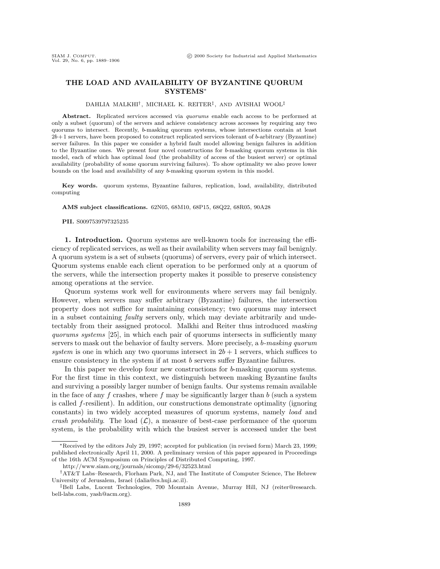## **THE LOAD AND AVAILABILITY OF BYZANTINE QUORUM SYSTEMS**<sup>∗</sup>

### DAHLIA MALKHI†, MICHAEL K. REITER‡, AND AVISHAI WOOL‡

Abstract. Replicated services accessed via *quorums* enable each access to be performed at only a subset (quorum) of the servers and achieve consistency across accesses by requiring any two quorums to intersect. Recently, b-masking quorum systems, whose intersections contain at least  $2b+1$  servers, have been proposed to construct replicated services tolerant of b-arbitrary (Byzantine) server failures. In this paper we consider a hybrid fault model allowing benign failures in addition to the Byzantine ones. We present four novel constructions for b-masking quorum systems in this model, each of which has optimal load (the probability of access of the busiest server) or optimal availability (probability of some quorum surviving failures). To show optimality we also prove lower bounds on the load and availability of any b-masking quorum system in this model.

**Key words.** quorum systems, Byzantine failures, replication, load, availability, distributed computing

**AMS subject classifications.** 62N05, 68M10, 68P15, 68Q22, 68R05, 90A28

**PII.** S0097539797325235

**1. Introduction.** Quorum systems are well-known tools for increasing the efficiency of replicated services, as well as their availability when servers may fail benignly. A quorum system is a set of subsets (quorums) of servers, every pair of which intersect. Quorum systems enable each client operation to be performed only at a quorum of the servers, while the intersection property makes it possible to preserve consistency among operations at the service.

Quorum systems work well for environments where servers may fail benignly. However, when servers may suffer arbitrary (Byzantine) failures, the intersection property does not suffice for maintaining consistency; two quorums may intersect in a subset containing faulty servers only, which may deviate arbitrarily and undetectably from their assigned protocol. Malkhi and Reiter thus introduced masking quorums systems [25], in which each pair of quorums intersects in sufficiently many servers to mask out the behavior of faulty servers. More precisely, a b-masking quorum system is one in which any two quorums intersect in  $2b + 1$  servers, which suffices to ensure consistency in the system if at most b servers suffer Byzantine failures.

In this paper we develop four new constructions for b-masking quorum systems. For the first time in this context, we distinguish between masking Byzantine faults and surviving a possibly larger number of benign faults. Our systems remain available in the face of any f crashes, where f may be significantly larger than  $b$  (such a system is called  $f$ -resilient). In addition, our constructions demonstrate optimality (ignoring constants) in two widely accepted measures of quorum systems, namely load and crash probability. The load  $(\mathcal{L})$ , a measure of best-case performance of the quorum system, is the probability with which the busiest server is accessed under the best

<sup>∗</sup>Received by the editors July 29, 1997; accepted for publication (in revised form) March 23, 1999; published electronically April 11, 2000. A preliminary version of this paper appeared in Proceedings of the 16th ACM Symposium on Principles of Distributed Computing, 1997.

http://www.siam.org/journals/sicomp/29-6/32523.html

<sup>†</sup>AT&T Labs–Research, Florham Park, NJ, and The Institute of Computer Science, The Hebrew University of Jerusalem, Israel (dalia@cs.huji.ac.il).

<sup>‡</sup>Bell Labs, Lucent Technologies, 700 Mountain Avenue, Murray Hill, NJ (reiter@research. bell-labs.com, yash@acm.org).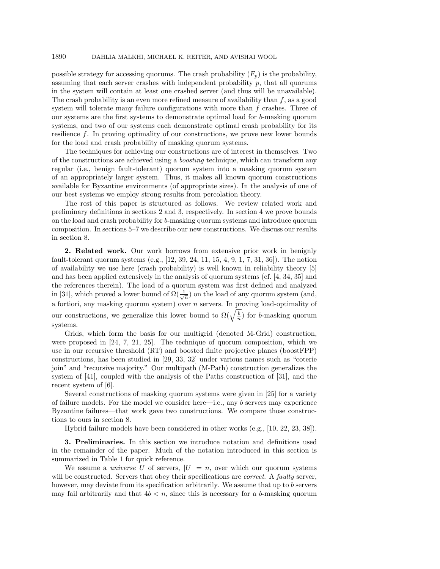possible strategy for accessing quorums. The crash probability  $(F_p)$  is the probability, assuming that each server crashes with independent probability  $p$ , that all quorums in the system will contain at least one crashed server (and thus will be unavailable). The crash probability is an even more refined measure of availability than  $f$ , as a good system will tolerate many failure configurations with more than  $f$  crashes. Three of our systems are the first systems to demonstrate optimal load for b-masking quorum systems, and two of our systems each demonstrate optimal crash probability for its resilience f. In proving optimality of our constructions, we prove new lower bounds for the load and crash probability of masking quorum systems.

The techniques for achieving our constructions are of interest in themselves. Two of the constructions are achieved using a boosting technique, which can transform any regular (i.e., benign fault-tolerant) quorum system into a masking quorum system of an appropriately larger system. Thus, it makes all known quorum constructions available for Byzantine environments (of appropriate sizes). In the analysis of one of our best systems we employ strong results from percolation theory.

The rest of this paper is structured as follows. We review related work and preliminary definitions in sections 2 and 3, respectively. In section 4 we prove bounds on the load and crash probability for b-masking quorum systems and introduce quorum composition. In sections 5–7 we describe our new constructions. We discuss our results in section 8.

**2. Related work.** Our work borrows from extensive prior work in benignly fault-tolerant quorum systems (e.g., [12, 39, 24, 11, 15, 4, 9, 1, 7, 31, 36]). The notion of availability we use here (crash probability) is well known in reliability theory [5] and has been applied extensively in the analysis of quorum systems (cf. [4, 34, 35] and the references therein). The load of a quorum system was first defined and analyzed in [31], which proved a lower bound of  $\Omega(\frac{1}{\sqrt{n}})$  on the load of any quorum system (and, a fortiori, any masking quorum system) over n servers. In proving load-optimality of our constructions, we generalize this lower bound to  $\Omega(\sqrt{\frac{b}{n}})$  for b-masking quorum systems.

Grids, which form the basis for our multigrid (denoted M-Grid) construction, were proposed in [24, 7, 21, 25]. The technique of quorum composition, which we use in our recursive threshold (RT) and boosted finite projective planes (boostFPP) constructions, has been studied in [29, 33, 32] under various names such as "coterie join" and "recursive majority." Our multipath (M-Path) construction generalizes the system of [41], coupled with the analysis of the Paths construction of [31], and the recent system of [6].

Several constructions of masking quorum systems were given in [25] for a variety of failure models. For the model we consider here—i.e., any b servers may experience Byzantine failures—that work gave two constructions. We compare those constructions to ours in section 8.

Hybrid failure models have been considered in other works (e.g., [10, 22, 23, 38]).

**3. Preliminaries.** In this section we introduce notation and definitions used in the remainder of the paper. Much of the notation introduced in this section is summarized in Table 1 for quick reference.

We assume a *universe U* of servers,  $|U| = n$ , over which our quorum systems will be constructed. Servers that obey their specifications are *correct*. A *faulty* server, however, may deviate from its specification arbitrarily. We assume that up to b servers may fail arbitrarily and that  $4b < n$ , since this is necessary for a b-masking quorum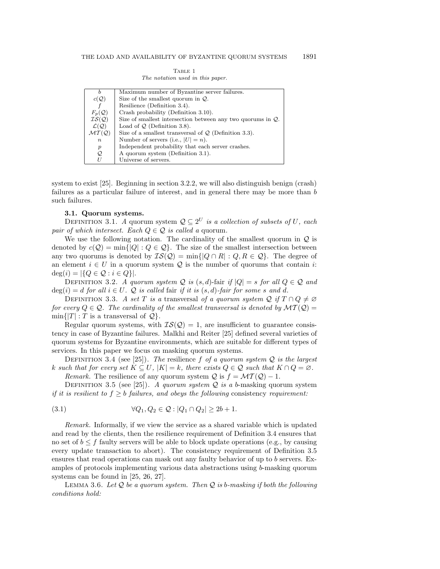| TABLE 1 |                                  |  |  |  |  |  |  |  |
|---------|----------------------------------|--|--|--|--|--|--|--|
|         | The notation used in this paper. |  |  |  |  |  |  |  |

| h                          | Maximum number of Byzantine server failures.                   |  |  |  |  |
|----------------------------|----------------------------------------------------------------|--|--|--|--|
| $c(\mathcal{Q})$           | Size of the smallest quorum in $Q$ .                           |  |  |  |  |
|                            | Resilience (Definition 3.4).                                   |  |  |  |  |
| $F_p(\mathcal{Q})$         | Crash probability (Definition 3.10).                           |  |  |  |  |
| TS(Q)                      | Size of smallest intersection between any two quorums in $Q$ . |  |  |  |  |
| $\mathcal{L}(\mathcal{Q})$ | Load of $Q$ (Definition 3.8).                                  |  |  |  |  |
| MT(Q)                      | Size of a smallest transversal of $Q$ (Definition 3.3).        |  |  |  |  |
| $\, n$                     | Number of servers (i.e., $ U =n$ ).                            |  |  |  |  |
| $\boldsymbol{p}$           | Independent probability that each server crashes.              |  |  |  |  |
| Q                          | A quorum system (Definition 3.1).                              |  |  |  |  |
| U                          | Universe of servers.                                           |  |  |  |  |

system to exist [25]. Beginning in section 3.2.2, we will also distinguish benign (crash) failures as a particular failure of interest, and in general there may be more than b such failures.

## **3.1. Quorum systems.**

DEFINITION 3.1. A quorum system  $Q \subseteq 2^U$  is a collection of subsets of U, each pair of which intersect. Each  $Q \in \mathcal{Q}$  is called a quorum.

We use the following notation. The cardinality of the smallest quorum in  $Q$  is denoted by  $c(Q) = \min\{|Q| : Q \in Q\}$ . The size of the smallest intersection between any two quorums is denoted by  $\mathcal{IS}(\mathcal{Q}) = \min\{|Q \cap R| : Q, R \in \mathcal{Q}\}\.$  The degree of an element  $i \in U$  in a quorum system  $\mathcal Q$  is the number of quorums that contain i:  $deg(i) = |\{Q \in \mathcal{Q} : i \in Q\}|.$ 

DEFINITION 3.2. A quorum system Q is  $(s, d)$ -fair if  $|Q| = s$  for all  $Q \in \mathcal{Q}$  and  $deg(i) = d$  for all  $i \in U$ . Q is called fair if it is  $(s, d)$ -fair for some s and d.

DEFINITION 3.3. A set T is a transversal of a quorum system Q if  $T \cap Q \neq \emptyset$ for every  $Q \in \mathcal{Q}$ . The cardinality of the smallest transversal is denoted by  $\mathcal{MT}(\mathcal{Q}) =$  $\min\{|T|: T \text{ is a transversal of } \mathcal{Q}\}.$ 

Regular quorum systems, with  $IS(Q) = 1$ , are insufficient to guarantee consistency in case of Byzantine failures. Malkhi and Reiter [25] defined several varieties of quorum systems for Byzantine environments, which are suitable for different types of services. In this paper we focus on masking quorum systems.

DEFINITION 3.4 (see [25]). The resilience f of a quorum system  $Q$  is the largest k such that for every set  $K \subseteq U$ ,  $|K| = k$ , there exists  $Q \in \mathcal{Q}$  such that  $K \cap Q = \emptyset$ .

*Remark.* The resilience of any quorum system  $\mathcal{Q}$  is  $f = \mathcal{MT}(\mathcal{Q}) - 1$ .

DEFINITION 3.5 (see [25]). A quorum system  $Q$  is a b-masking quorum system if it is resilient to  $f \geq b$  failures, and obeys the following consistency requirement:

(3.1) 
$$
\forall Q_1, Q_2 \in \mathcal{Q} : |Q_1 \cap Q_2| \ge 2b + 1.
$$

Remark. Informally, if we view the service as a shared variable which is updated and read by the clients, then the resilience requirement of Definition 3.4 ensures that no set of  $b \leq f$  faulty servers will be able to block update operations (e.g., by causing every update transaction to abort). The consistency requirement of Definition 3.5 ensures that read operations can mask out any faulty behavior of up to b servers. Examples of protocols implementing various data abstractions using b-masking quorum systems can be found in [25, 26, 27].

LEMMA 3.6. Let  $Q$  be a quorum system. Then  $Q$  is b-masking if both the following conditions hold: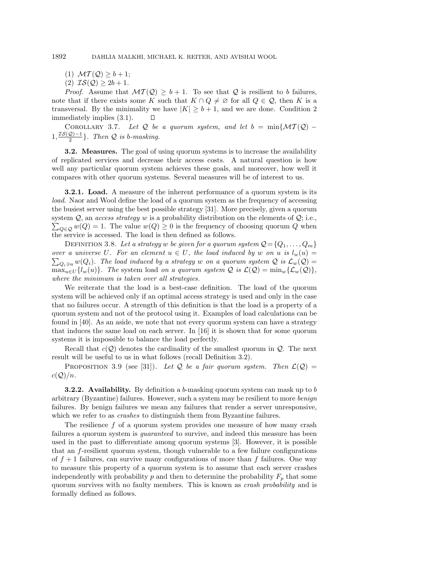- (1)  $MT(Q) \geq b+1;$
- (2)  $\mathcal{IS}(\mathcal{Q}) \geq 2b + 1$ .

*Proof.* Assume that  $\mathcal{MT}(\mathcal{Q}) \geq b + 1$ . To see that  $\mathcal Q$  is resilient to b failures, note that if there exists some K such that  $K \cap Q \neq \emptyset$  for all  $Q \in \mathcal{Q}$ , then K is a transversal. By the minimality we have  $|K| \geq b+1$ , and we are done. Condition 2 immediately implies (3.1).  $\Box$ 

COROLLARY 3.7. Let Q be a quorum system, and let  $b = \min\{\mathcal{MT}(\mathcal{Q}) 1, \frac{\mathcal{IS}(\mathcal{Q})-1}{2}$ . Then  $\mathcal Q$  is b-masking.

**3.2. Measures.** The goal of using quorum systems is to increase the availability of replicated services and decrease their access costs. A natural question is how well any particular quorum system achieves these goals, and moreover, how well it compares with other quorum systems. Several measures will be of interest to us.

**3.2.1.** Load. A measure of the inherent performance of a quorum system is its load. Naor and Wool define the load of a quorum system as the frequency of accessing the busiest server using the best possible strategy [31]. More precisely, given a quorum system  $Q$ , an access strategy w is a probability distribution on the elements of  $Q$ ; i.e.,  $\sum_{Q \in \mathcal{Q}} w(Q) = 1$ . The value  $w(Q) \ge 0$  is the frequency of choosing quorum Q when the service is accessed. The load is then defined as follows.

DEFINITION 3.8. Let a strategy w be given for a quorum system  $\mathcal{Q} = \{Q_1, \ldots, Q_m\}$ over a universe U. For an element  $u \in U$ , the load induced by w on u is  $l_w(u) =$  $\sum_{Q_i \ni u} w(Q_i)$ . The load induced by a strategy w on a quorum system  $Q$  is  $\mathcal{L}_w(Q) =$  $\max_{u\in U} \{l_w(u)\}\.$  The system load on a quorum system Q is  $\mathcal{L}(Q) = \min_w \{\mathcal{L}_w(Q)\}\.$ where the minimum is taken over all strategies.

We reiterate that the load is a best-case definition. The load of the quorum system will be achieved only if an optimal access strategy is used and only in the case that no failures occur. A strength of this definition is that the load is a property of a quorum system and not of the protocol using it. Examples of load calculations can be found in [40]. As an aside, we note that not every quorum system can have a strategy that induces the same load on each server. In [16] it is shown that for some quorum systems it is impossible to balance the load perfectly.

Recall that  $c(Q)$  denotes the cardinality of the smallest quorum in  $Q$ . The next result will be useful to us in what follows (recall Definition 3.2).

PROPOSITION 3.9 (see [31]). Let Q be a fair quorum system. Then  $\mathcal{L}(\mathcal{Q}) =$  $c(\mathcal{Q})/n$ .

**3.2.2.** Availability. By definition a b-masking quorum system can mask up to b arbitrary (Byzantine) failures. However, such a system may be resilient to more benign failures. By benign failures we mean any failures that render a server unresponsive, which we refer to as *crashes* to distinguish them from Byzantine failures.

The resilience  $f$  of a quorum system provides one measure of how many crash failures a quorum system is *guaranteed* to survive, and indeed this measure has been used in the past to differentiate among quorum systems [3]. However, it is possible that an f-resilient quorum system, though vulnerable to a few failure configurations of  $f + 1$  failures, can survive many configurations of more than f failures. One way to measure this property of a quorum system is to assume that each server crashes independently with probability  $p$  and then to determine the probability  $F_p$  that some quorum survives with no faulty members. This is known as crash probability and is formally defined as follows.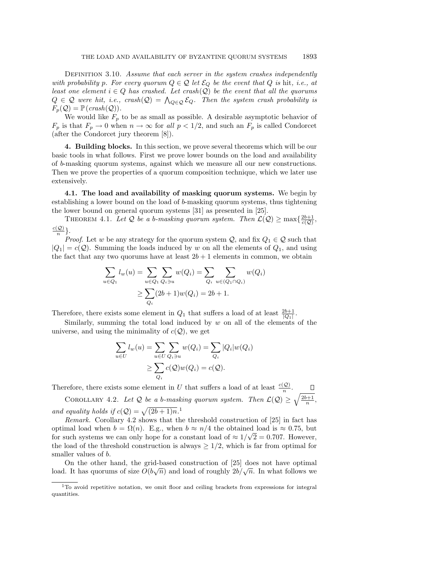DEFINITION 3.10. Assume that each server in the system crashes independently with probability p. For every quorum  $Q \in \mathcal{Q}$  let  $\mathcal{E}_Q$  be the event that  $Q$  is hit, i.e., at least one element  $i \in Q$  has crashed. Let crash( $Q$ ) be the event that all the quorums  $Q \in \mathcal{Q}$  were hit, i.e., crash $(Q) = \bigwedge_{Q \in \mathcal{Q}} \mathcal{E}_Q$ . Then the system crash probability is  $F_p(\mathcal{Q}) = \mathbb{P}(crash(\mathcal{Q})).$ 

We would like  $F_p$  to be as small as possible. A desirable asymptotic behavior of  $F_p$  is that  $F_p \to 0$  when  $n \to \infty$  for all  $p < 1/2$ , and such an  $F_p$  is called Condorcet (after the Condorcet jury theorem [8]).

**4. Building blocks.** In this section, we prove several theorems which will be our basic tools in what follows. First we prove lower bounds on the load and availability of b-masking quorum systems, against which we measure all our new constructions. Then we prove the properties of a quorum composition technique, which we later use extensively.

**4.1. The load and availability of masking quorum systems.** We begin by establishing a lower bound on the load of b-masking quorum systems, thus tightening the lower bound on general quorum systems [31] as presented in [25].

THEOREM 4.1. Let Q be a b-masking quorum system. Then  $\mathcal{L}(\mathcal{Q}) \ge \max\{\frac{2b+1}{c(\mathcal{Q})},\}$  $\frac{c(\mathcal{Q})}{n}\}.$ 

*Proof.* Let w be any strategy for the quorum system  $\mathcal{Q}$ , and fix  $Q_1 \in \mathcal{Q}$  such that  $|Q_1| = c(Q)$ . Summing the loads induced by w on all the elements of  $Q_1$ , and using the fact that any two quorums have at least  $2b + 1$  elements in common, we obtain

$$
\sum_{u \in Q_1} l_w(u) = \sum_{u \in Q_1} \sum_{Q_i \ni u} w(Q_i) = \sum_{Q_i} \sum_{u \in (Q_1 \cap Q_i)} w(Q_i)
$$
  
 
$$
\geq \sum_{Q_i} (2b+1)w(Q_i) = 2b+1.
$$

Therefore, there exists some element in  $Q_1$  that suffers a load of at least  $\frac{2b+1}{|Q_1|}$ .

Similarly, summing the total load induced by  $w$  on all of the elements of the universe, and using the minimality of  $c(Q)$ , we get

$$
\sum_{u \in U} l_w(u) = \sum_{u \in U} \sum_{Q_i \ni u} w(Q_i) = \sum_{Q_i} |Q_i| w(Q_i)
$$
  
\n
$$
\geq \sum_{Q_i} c(Q) w(Q_i) = c(Q).
$$

Therefore, there exists some element in U that suffers a load of at least  $\frac{c(Q)}{n}$ .

COROLLARY 4.2. Let Q be a b-masking quorum system. Then  $\mathcal{L}(\mathcal{Q}) \geq \sqrt{\frac{2b+1}{n}},$ and equality holds if  $c(Q) = \sqrt{(2b+1)n}$ .<sup>1</sup>

Remark. Corollary 4.2 shows that the threshold construction of [25] in fact has optimal load when  $b = \Omega(n)$ . E.g., when  $b \approx n/4$  the obtained load is  $\approx 0.75$ , but optimal load when  $b = \Omega(n)$ . E.g., when  $b \approx n/4$  the obtained load is  $\approx 0.75$ , but<br>for such systems we can only hope for a constant load of  $\approx 1/\sqrt{2} = 0.707$ . However, the load of the threshold construction is always  $\geq 1/2$ , which is far from optimal for smaller values of b.

On the other hand, the grid-based construction of [25] does not have optimal On the other hand, the grid-based construction of [25] does not have optimal<br>load. It has quorums of size  $O(b\sqrt{n})$  and load of roughly  $2b/\sqrt{n}$ . In what follows we

<sup>&</sup>lt;sup>1</sup>To avoid repetitive notation, we omit floor and ceiling brackets from expressions for integral quantities.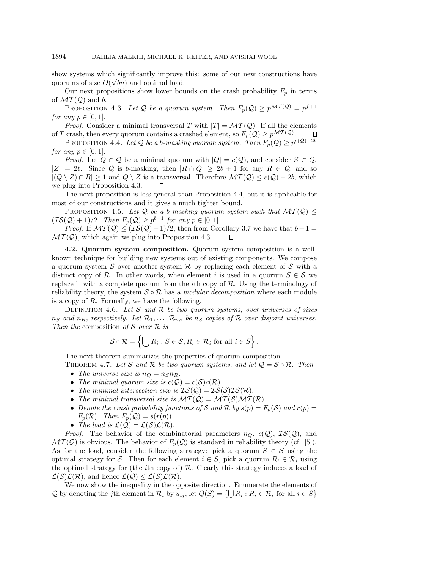show systems which significantly improve this: some of our new constructions have quorums of size  $O(\sqrt{bn})$  and optimal load.

Our next propositions show lower bounds on the crash probability  $F_p$  in terms of  $\mathcal{MT}(\mathcal{Q})$  and b.

PROPOSITION 4.3. Let Q be a quorum system. Then  $F_p(Q) \geq p^{\mathcal{MT}(Q)} = p^{f+1}$ for any  $p \in [0, 1]$ .

*Proof.* Consider a minimal transversal T with  $|T| = \mathcal{MT}(Q)$ . If all the elements of T crash, then every quorum contains a crashed element, so  $F_p(\mathcal{Q}) \geq p^{\mathcal{MT}(\mathcal{Q})}$ .

PROPOSITION 4.4. Let Q be a b-masking quorum system. Then  $F_p(\mathcal{Q}) \geq p^{c(\mathcal{Q})-2b}$ for any  $p \in [0, 1]$ .

*Proof.* Let  $Q \in \mathcal{Q}$  be a minimal quorum with  $|Q| = c(\mathcal{Q})$ , and consider  $Z \subset Q$ ,  $|Z| = 2b$ . Since Q is b-masking, then  $|R \cap Q| \ge 2b + 1$  for any  $R \in \mathcal{Q}$ , and so  $|(Q \setminus Z) \cap R| \geq 1$  and  $|Q \setminus Z|$  is a transversal. Therefore  $\mathcal{MT}(\mathcal{Q}) \leq c(\mathcal{Q}) - 2b$ , which we plug into Proposition 4.3.  $\Box$ 

The next proposition is less general than Proposition 4.4, but it is applicable for most of our constructions and it gives a much tighter bound.

PROPOSITION 4.5. Let Q be a b-masking quorum system such that  $MT(Q) \leq$  $(\mathcal{IS}(\mathcal{Q})+1)/2$ . Then  $F_p(\mathcal{Q}) \geq p^{b+1}$  for any  $p \in [0,1]$ .

*Proof.* If  $MT(Q) \leq (IS(Q) + 1)/2$ , then from Corollary 3.7 we have that  $b+1=$  $MT(Q)$ , which again we plug into Proposition 4.3.  $\Box$ 

**4.2. Quorum system composition.** Quorum system composition is a wellknown technique for building new systems out of existing components. We compose a quorum system S over another system  $\mathcal R$  by replacing each element of S with a distinct copy of R. In other words, when element i is used in a quorum  $S \in \mathcal{S}$  we replace it with a complete quorum from the *i*th copy of  $R$ . Using the terminology of reliability theory, the system  $S \circ \mathcal{R}$  has a *modular decomposition* where each module is a copy of  $\mathcal R$ . Formally, we have the following.

DEFINITION 4.6. Let S and R be two quorum systems, over universes of sizes  $n_S$  and  $n_R$ , respectively. Let  $\mathcal{R}_1,\ldots,\mathcal{R}_{n_S}$  be  $n_S$  copies of  $\mathcal R$  over disjoint universes. Then the composition of S over  $\mathcal R$  is

$$
\mathcal{S} \circ \mathcal{R} = \left\{ \bigcup R_i : S \in \mathcal{S}, R_i \in \mathcal{R}_i \text{ for all } i \in S \right\}.
$$

The next theorem summarizes the properties of quorum composition.

THEOREM 4.7. Let S and R be two quorum systems, and let  $Q = S \circ R$ . Then • The universe size is  $n_Q = n_S n_R$ .

- The minimal quorum size is  $c(\mathcal{Q}) = c(\mathcal{S})c(\mathcal{R})$ .
- The minimal intersection size is  $IS(Q) = IS(S)IS(R)$ .
- The minimal transversal size is  $MT(Q) = MT(S)MT(R)$ .
- Denote the crash probability functions of S and R by  $s(p) = F_p(S)$  and  $r(p) =$  $F_p(\mathcal{R})$ . Then  $F_p(\mathcal{Q}) = s(r(p))$ .
- The load is  $\mathcal{L}(\mathcal{Q}) = \mathcal{L}(\mathcal{S})\mathcal{L}(\mathcal{R})$ .

*Proof.* The behavior of the combinatorial parameters  $n_Q$ ,  $c(Q)$ ,  $IS(Q)$ , and  $MT(Q)$  is obvious. The behavior of  $F_p(Q)$  is standard in reliability theory (cf. [5]). As for the load, consider the following strategy: pick a quorum  $S \in \mathcal{S}$  using the optimal strategy for S. Then for each element  $i \in S$ , pick a quorum  $R_i \in \mathcal{R}_i$  using the optimal strategy for (the *i*th copy of)  $\mathcal{R}$ . Clearly this strategy induces a load of  $\mathcal{L}(\mathcal{S})\mathcal{L}(\mathcal{R})$ , and hence  $\mathcal{L}(\mathcal{Q}) \leq \mathcal{L}(\mathcal{S})\mathcal{L}(\mathcal{R})$ .

We now show the inequality in the opposite direction. Enumerate the elements of Q by denoting the jth element in  $\mathcal{R}_i$  by  $u_{ij}$ , let  $Q(S) = \{ \bigcup R_i : R_i \in \mathcal{R}_i \text{ for all } i \in S \}$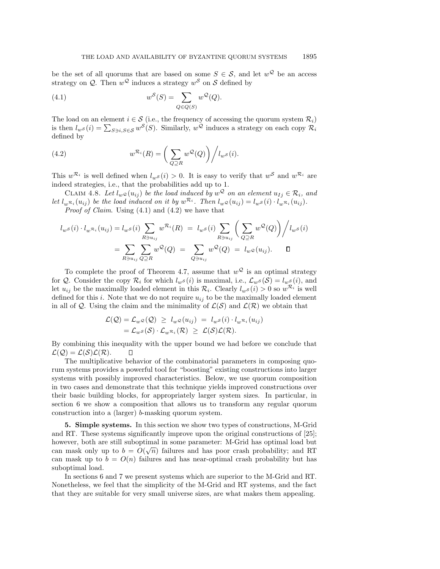be the set of all quorums that are based on some  $S \in \mathcal{S}$ , and let  $w^{\mathcal{Q}}$  be an access strategy on Q. Then  $w^{\mathcal{Q}}$  induces a strategy  $w^{\mathcal{S}}$  on S defined by

(4.1) 
$$
w^S(S) = \sum_{Q \in Q(S)} w^Q(Q).
$$

The load on an element  $i \in \mathcal{S}$  (i.e., the frequency of accessing the quorum system  $\mathcal{R}_i$ ) is then  $l_w s(i) = \sum_{S \ni i, S \in \mathcal{S}} w^S(S)$ . Similarly,  $w^Q$  induces a strategy on each copy  $\mathcal{R}_i$ defined by

(4.2) 
$$
w^{\mathcal{R}_i}(R) = \left(\sum_{Q \supseteq R} w^{\mathcal{Q}}(Q)\right) / l_{w^{\mathcal{S}}}(i).
$$

This  $w^{\mathcal{R}_i}$  is well defined when  $l_w s(i) > 0$ . It is easy to verify that  $w^{\mathcal{S}}$  and  $w^{\mathcal{R}_i}$  are indeed strategies, i.e., that the probabilities add up to 1.

CLAIM 4.8. Let  $l_w \circ (u_{ij})$  be the load induced by  $w^Q$  on an element  $u_{Ij} \in \mathcal{R}_i$ , and let  $l_m\mathcal{R}_i (u_{ij})$  be the load induced on it by  $w^{\mathcal{R}_i}$ . Then  $l_w\mathcal{Q}(u_{ij}) = l_w\mathcal{S}(i) \cdot l_w\mathcal{R}_i (u_{ij}).$ *Proof of Claim.* Using  $(4.1)$  and  $(4.2)$  we have that

$$
l_{w}s(i) \cdot l_{w} \mathcal{R}_{i}(u_{ij}) = l_{w}s(i) \sum_{R \ni u_{ij}} w^{\mathcal{R}_{i}}(R) = l_{w}s(i) \sum_{R \ni u_{ij}} \left( \sum_{Q \supseteq R} w^{Q}(Q) \right) / l_{w}s(i)
$$

$$
= \sum_{R \ni u_{ij}} \sum_{Q \supseteq R} w^{Q}(Q) = \sum_{Q \ni u_{ij}} w^{Q}(Q) = l_{w}\mathcal{Q}(u_{ij}). \qquad \Box
$$

To complete the proof of Theorem 4.7, assume that  $w^{\mathcal{Q}}$  is an optimal strategy for Q. Consider the copy  $\mathcal{R}_i$  for which  $l_w s(i)$  is maximal, i.e.,  $\mathcal{L}_w s(\mathcal{S}) = l_w s(i)$ , and let  $u_{ij}$  be the maximally loaded element in this  $\mathcal{R}_i$ . Clearly  $l_{w\mathcal{S}}(i) > 0$  so  $w^{\mathcal{R}_i}$  is well defined for this i. Note that we do not require  $u_{ii}$  to be the maximally loaded element in all of Q. Using the claim and the minimality of  $\mathcal{L}(\mathcal{S})$  and  $\mathcal{L}(\mathcal{R})$  we obtain that

$$
\mathcal{L}(\mathcal{Q}) = \mathcal{L}_{w} \circ (\mathcal{Q}) \geq l_{w} \circ (u_{ij}) = l_{w} \circ (i) \cdot l_{w} \mathcal{R}_{i} (u_{ij})
$$
  
=  $\mathcal{L}_{w} \circ (\mathcal{S}) \cdot \mathcal{L}_{w} \mathcal{R}_{i} (\mathcal{R}) \geq \mathcal{L}(\mathcal{S}) \mathcal{L}(\mathcal{R}).$ 

By combining this inequality with the upper bound we had before we conclude that  $\mathcal{L}(\mathcal{Q}) = \mathcal{L}(\mathcal{S})\mathcal{L}(\mathcal{R}).$  $\Box$ 

The multiplicative behavior of the combinatorial parameters in composing quorum systems provides a powerful tool for "boosting" existing constructions into larger systems with possibly improved characteristics. Below, we use quorum composition in two cases and demonstrate that this technique yields improved constructions over their basic building blocks, for appropriately larger system sizes. In particular, in section 6 we show a composition that allows us to transform any regular quorum construction into a (larger) b-masking quorum system.

**5. Simple systems.** In this section we show two types of constructions, M-Grid and RT. These systems significantly improve upon the original constructions of [25]; however, both are still suboptimal in some parameter: M-Grid has optimal load but however, both are still suboptified in some parameter. M-Grid has optimal load but<br>can mask only up to  $b = O(\sqrt{n})$  failures and has poor crash probability; and RT can mask up to  $b = O(n)$  failures and has near-optimal crash probability but has suboptimal load.

In sections 6 and 7 we present systems which are superior to the M-Grid and RT. Nonetheless, we feel that the simplicity of the M-Grid and RT systems, and the fact that they are suitable for very small universe sizes, are what makes them appealing.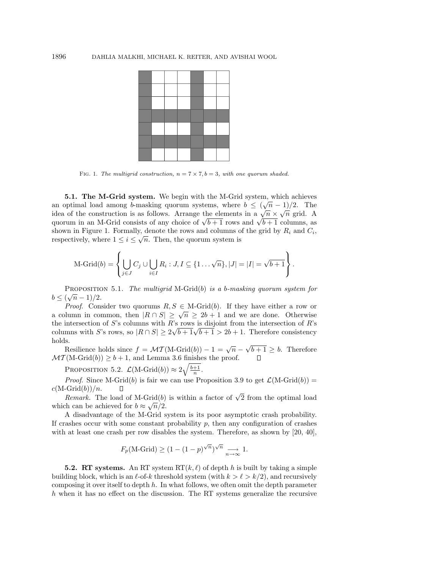

FIG. 1. The multigrid construction,  $n = 7 \times 7$ ,  $b = 3$ , with one quorum shaded.

**5.1. The M-Grid system.** We begin with the M-Grid system, which achieves **a.1.** The M-GTM system. We begin with the M-GTM system, which achieves an optimal load among b-masking quorum systems, where  $b \le (\sqrt{n} - 1)/2$ . The idea of the construction is as follows. Arrange the elements in a  $\sqrt{n} \times \sqrt{n}$  grid. A quorum in an M-Grid consists of any choice of  $\sqrt{b+1}$  rows and  $\sqrt{b+1}$  columns, as shown in Figure 1. Formally, denote the rows and columns of the grid by  $R_i$  and  $C_i$ , respectively, where  $1 \leq i \leq \sqrt{n}$ . Then, the quorum system is

$$
\text{M-Grid}(b) = \left\{ \bigcup_{j \in J} C_j \cup \bigcup_{i \in I} R_i : J, I \subseteq \{1 \dots \sqrt{n}\}, |J| = |I| = \sqrt{b+1} \right\}.
$$

PROPOSITION 5.1. The multigrid M-Grid(b) is a b-masking quorum system for  $b \leq (\sqrt{n}-1)/2.$ 

*Proof.* Consider two quorums  $R, S \in M$ -Grid $(b)$ . If they have either a row or a column in common, then  $|R \cap S| \geq \sqrt{n} \geq 2b + 1$  and we are done. Otherwise the intersection of  $S$ 's columns with  $R$ 's rows is disjoint from the intersection of  $R$ 's the intersection of 5 s columns with R s rows is disjoint from the intersection of R s columns with S's rows, so  $|R \cap S| \geq 2\sqrt{b+1}\sqrt{b+1} > 2b+1$ . Therefore consistency holds.

Resilience holds since  $f = \mathcal{MT}(M\text{-}\text{Grid}(b)) - 1 = \sqrt{n} - \sqrt{b+1} \geq b$ . Therefore  $\mathcal{MT}(\mathrm{M}\text{-}\mathrm{Grid}(b))\geq b+1,$  and Lemma 3.6 finishes the proof.

PROPOSITION 5.2.  $\mathcal{L}(\text{M-Grid}(b)) \approx 2\sqrt{\frac{b+1}{n}}$ .

*Proof.* Since M-Grid(b) is fair we can use Proposition 3.9 to get  $\mathcal{L}(M\text{-Grid}(b))$  =  $c(M\text{-}\mathrm{Grid}(b))/n$ .

 $Remark$ . The load of M-Grid(b) is within a factor of  $\sqrt{2}$  from the optimal load which can be achieved for  $b \approx \sqrt{n}/2$ .

A disadvantage of the M-Grid system is its poor asymptotic crash probability. If crashes occur with some constant probability  $p$ , then any configuration of crashes with at least one crash per row disables the system. Therefore, as shown by [20, 40],

$$
F_p(\text{M-Grid}) \ge (1 - (1 - p)^{\sqrt{n}})^{\sqrt{n}} \underset{n \to \infty}{\longrightarrow} 1.
$$

**5.2. RT systems.** An RT system  $RT(k, \ell)$  of depth h is built by taking a simple building block, which is an  $\ell$ -of-k threshold system (with  $k > \ell > k/2$ ), and recursively composing it over itself to depth  $h$ . In what follows, we often omit the depth parameter h when it has no effect on the discussion. The RT systems generalize the recursive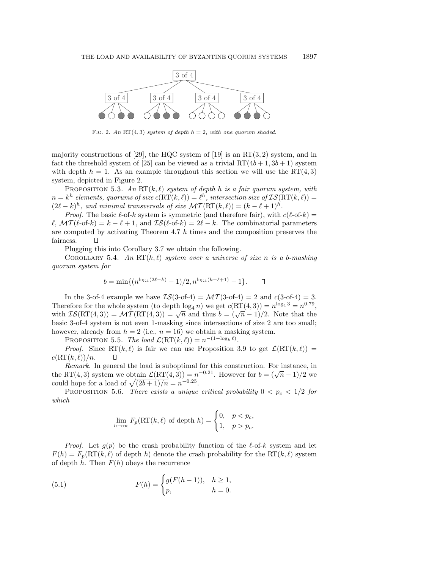

FIG. 2. An RT(4,3) system of depth  $h = 2$ , with one quorum shaded.

majority constructions of [29], the HQC system of [19] is an  $RT(3, 2)$  system, and in fact the threshold system of [25] can be viewed as a trivial  $RT(4b + 1, 3b + 1)$  system with depth  $h = 1$ . As an example throughout this section we will use the RT(4,3) system, depicted in Figure 2.

PROPOSITION 5.3. An  $RT(k, \ell)$  system of depth h is a fair quorum system, with  $n = k^h$  elements, quorums of size  $c(RT(k, \ell)) = \ell^h$ , intersection size of  $\mathcal{IS}(RT(k, \ell)) =$  $(2\ell - k)^h$ , and minimal transversals of size  $\mathcal{MT}(\mathrm{RT}(k, \ell)) = (k - \ell + 1)^h$ .

*Proof.* The basic  $\ell$ -of-k system is symmetric (and therefore fair), with  $c(\ell$ -of-k) =  $\ell$ ,  $\mathcal{MT}(\ell$ -of-k) =  $k - \ell + 1$ , and  $\mathcal{IS}(\ell$ -of-k) =  $2\ell - k$ . The combinatorial parameters are computed by activating Theorem  $4.7 h$  times and the composition preserves the fairness.  $\Box$ 

Plugging this into Corollary 3.7 we obtain the following.

COROLLARY 5.4. An  $RT(k, \ell)$  system over a universe of size n is a b-masking quorum system for

$$
b = \min\{(n^{\log_k(2\ell - k)} - 1)/2, n^{\log_k(k - \ell + 1)} - 1\}.
$$

In the 3-of-4 example we have  $\mathcal{IS}(3\text{-}of-4) = \mathcal{MT}(3\text{-}of-4) = 2$  and  $c(3\text{-}of-4) = 3$ . Therefore for the whole system (to depth  $\log_4 n$ ) we get  $c(RT(4,3)) = n^{\log_4 3} = n^{0.79}$ , with  $IS(RT(4, 3)) = \mathcal{MT}(RT(4, 3)) = \sqrt{n}$  and thus  $b = (\sqrt{n} - 1)/2$ . Note that the basic 3-of-4 system is not even 1-masking since intersections of size 2 are too small; however, already from  $h = 2$  (i.e.,  $n = 16$ ) we obtain a masking system.

PROPOSITION 5.5. The load  $\mathcal{L}(\mathrm{RT}(k,\ell)) = n^{-(1-\log_k \ell)}$ .

*Proof.* Since  $\mathrm{RT}(k, \ell)$  is fair we can use Proposition 3.9 to get  $\mathcal{L}(\mathrm{RT}(k, \ell)) =$  $c(RT(k, \ell))/n$ .  $\Box$ 

Remark. In general the load is suboptimal for this construction. For instance, in the RT(4, 3) system we obtain  $\mathcal{L}(\text{RT}(4,3)) = n^{-0.21}$ . However for  $b = (\sqrt{n} - 1)/2$  we could hope for a load of  $\sqrt{(2b+1)/n} = n^{-0.25}$ .

PROPOSITION 5.6. There exists a unique critical probability  $0 < p_c < 1/2$  for which

$$
\lim_{h \to \infty} F_p(\mathrm{RT}(k, \ell) \text{ of depth } h) = \begin{cases} 0, & p < p_c, \\ 1, & p > p_c. \end{cases}
$$

*Proof.* Let  $q(p)$  be the crash probability function of the  $\ell$ -of-k system and let  $F(h) = F_p(RT(k, \ell)$  of depth h) denote the crash probability for the RT(k,  $\ell$ ) system of depth h. Then  $F(h)$  obeys the recurrence

(5.1) 
$$
F(h) = \begin{cases} g(F(h-1)), & h \ge 1, \\ p, & h = 0. \end{cases}
$$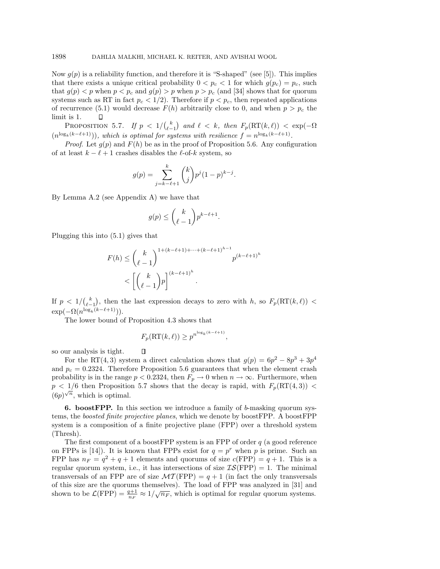Now  $g(p)$  is a reliability function, and therefore it is "S-shaped" (see [5]). This implies that there exists a unique critical probability  $0 < p_c < 1$  for which  $g(p_c) = p_c$ , such that  $g(p) < p$  when  $p < p_c$  and  $g(p) > p$  when  $p > p_c$  (and [34] shows that for quorum systems such as RT in fact  $p_c < 1/2$ . Therefore if  $p < p_c$ , then repeated applications of recurrence (5.1) would decrease  $F(h)$  arbitrarily close to 0, and when  $p>p_c$  the limit is 1.  $\Box$ 

PROPOSITION 5.7. If  $p < 1/{\binom{k}{\ell-1}}$  and  $\ell < k$ , then  $F_p(\mathrm{RT}(k, \ell)) < \exp(-\Omega)$  $(n^{\log_k(k-\ell+1)}))$ , which is optimal for systems with resilience  $f = n^{\log_k(k-\ell+1)}$ .

*Proof.* Let  $q(p)$  and  $F(h)$  be as in the proof of Proposition 5.6. Any configuration of at least  $k - \ell + 1$  crashes disables the  $\ell$ -of-k system, so

$$
g(p) = \sum_{j=k-\ell+1}^{k} {k \choose j} p^{j} (1-p)^{k-j}.
$$

By Lemma A.2 (see Appendix A) we have that

$$
g(p) \le \binom{k}{\ell-1} p^{k-\ell+1}.
$$

Plugging this into (5.1) gives that

$$
F(h) \le {k \choose \ell-1}^{1+(k-\ell+1)+\cdots+(k-\ell+1)^{h-1}} p^{(k-\ell+1)^h}
$$
  

$$
< \left[{k \choose \ell-1} p\right]^{(k-\ell+1)^h}.
$$

If  $p < 1/{\binom{k}{\ell-1}}$ , then the last expression decays to zero with h, so  $F_p(\mathrm{RT}(k,\ell))$  <  $\exp(-\Omega(n^{\log_k(k-\ell+1)})).$ 

The lower bound of Proposition 4.3 shows that

 $\Box$ 

$$
F_p(\mathsf{RT}(k,\ell)) \ge p^{n^{\log_k(k-\ell+1)}},
$$

so our analysis is tight.

For the RT(4,3) system a direct calculation shows that  $g(p)=6p^2-8p^3+3p^4$ and  $p_c = 0.2324$ . Therefore Proposition 5.6 guarantees that when the element crash probability is in the range  $p < 0.2324$ , then  $F_p \to 0$  when  $n \to \infty$ . Furthermore, when  $p < 1/6$  then Proposition 5.7 shows that the decay is rapid, with  $F_p(\mathrm{RT}(4,3))$  $(6p)^{\sqrt{n}}$ , which is optimal.

**6. boostFPP.** In this section we introduce a family of b-masking quorum systems, the boosted finite projective planes, which we denote by boostFPP. A boostFPP system is a composition of a finite projective plane (FPP) over a threshold system (Thresh).

The first component of a boostFPP system is an FPP of order  $q$  (a good reference on FPPs is [14]). It is known that FPPs exist for  $q = p^r$  when p is prime. Such an FPP has  $n_F = q^2 + q + 1$  elements and quorums of size  $c(FPP) = q + 1$ . This is a regular quorum system, i.e., it has intersections of size  $IS(FPP) = 1$ . The minimal transversals of an FPP are of size  $MT(FPP) = q + 1$  (in fact the only transversals of this size are the quorums themselves). The load of FPP was analyzed in [31] and shown to be  $\mathcal{L}(FPP) = \frac{q+1}{n_F} \approx 1/\sqrt{n_F}$ , which is optimal for regular quorum systems.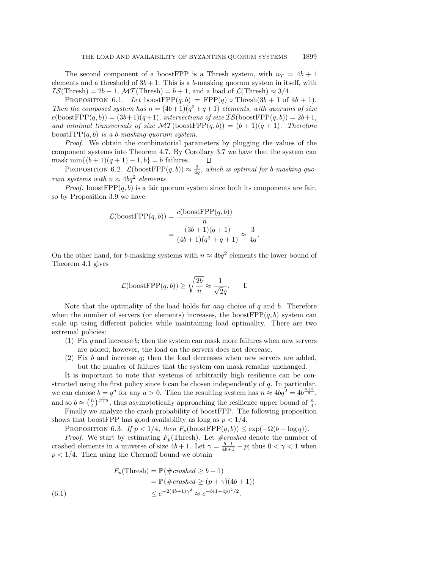The second component of a boostFPP is a Thresh system, with  $n_T = 4b + 1$ elements and a threshold of  $3b + 1$ . This is a b-masking quorum system in itself, with  $IS(Thresh) = 2b + 1$ ,  $MT(Thresh) = b + 1$ , and a load of  $\mathcal{L}(Thresh) \approx 3/4$ .

PROPOSITION 6.1. Let boostFPP $(q, b)$  = FPP $(q)$   $\circ$  Thresh $(3b + 1)$  of  $4b + 1$ . Then the composed system has  $n = (4b+1)(q^2+q+1)$  elements, with quorums of size  $c(\text{boostFPP}(q, b)) = (3b+1)(q+1)$ , intersections of size  $IS(\text{boostFPP}(q, b)) = 2b+1$ , and minimal transversals of size  $\mathcal{MT}(\text{boostFPP}(q, b)) = (b+1)(q+1)$ . Therefore boostFPP $(q, b)$  is a b-masking quorum system.

Proof. We obtain the combinatorial parameters by plugging the values of the component systems into Theorem 4.7. By Corollary 3.7 we have that the system can mask min $\{(b+1)(q+1) - 1, b\} = b$  failures.  $\Box$ 

PROPOSITION 6.2.  $\mathcal{L}(\text{boostFPP}(q, b)) \approx \frac{3}{4q}$ , which is optimal for b-masking quorum systems with  $n \approx 4bq^2$  elements.

*Proof.* boostFPP $(q, b)$  is a fair quorum system since both its components are fair, so by Proposition 3.9 we have

$$
\mathcal{L}(\text{boostFPP}(q, b)) = \frac{c(\text{boostFPP}(q, b))}{n}
$$

$$
= \frac{(3b+1)(q+1)}{(4b+1)(q^2+q+1)} \approx \frac{3}{4q}.
$$

On the other hand, for b-masking systems with  $n \approx 4bq^2$  elements the lower bound of Theorem 4.1 gives

$$
\mathcal{L}(\text{boostFPP}(q,b)) \ge \sqrt{\frac{2b}{n}} \approx \frac{1}{\sqrt{2}q}.\qquad \Box
$$

Note that the optimality of the load holds for *any* choice of  $q$  and  $b$ . Therefore when the number of servers (or elements) increases, the boost  $FPP(q, b)$  system can scale up using different policies while maintaining load optimality. There are two extremal policies:

- (1) Fix q and increase b; then the system can mask more failures when new servers are added; however, the load on the servers does not decrease.
- (2) Fix b and increase q; then the load decreases when new servers are added, but the number of failures that the system can mask remains unchanged.

It is important to note that systems of arbitrarily high resilience can be constructed using the first policy since  $b$  can be chosen independently of  $q$ . In particular, we can choose  $b = q^a$  for any  $a > 0$ . Then the resulting system has  $n \approx 4bq^2 = 4b^{\frac{a+2}{a}},$ and so  $b \approx \left(\frac{n}{4}\right)^{\frac{a}{a+2}}$ , thus asymptotically approaching the resilience upper bound of  $\frac{n}{4}$ .

Finally we analyze the crash probability of boostFPP. The following proposition shows that boostFPP has good availability as long as  $p < 1/4$ .

PROPOSITION 6.3. If  $p < 1/4$ , then  $F_p(\text{boostFPP}(q, b)) \leq \exp(-\Omega(b - \log q)).$ 

*Proof.* We start by estimating  $F_p$ (Thresh). Let  $\#crashed$  denote the number of crashed elements in a universe of size  $4b + 1$ . Let  $\gamma = \frac{b+1}{4b+1} - p$ ; thus  $0 < \gamma < 1$  when  $p < 1/4$ . Then using the Chernoff bound we obtain

$$
F_p(\text{Thresh}) = \mathbb{P}(\#crashed \ge b+1)
$$
  
=  $\mathbb{P}(\#crashed \ge (p+\gamma)(4b+1))$   
 $\le e^{-2(4b+1)\gamma^2} \approx e^{-b(1-4p)^2/2}.$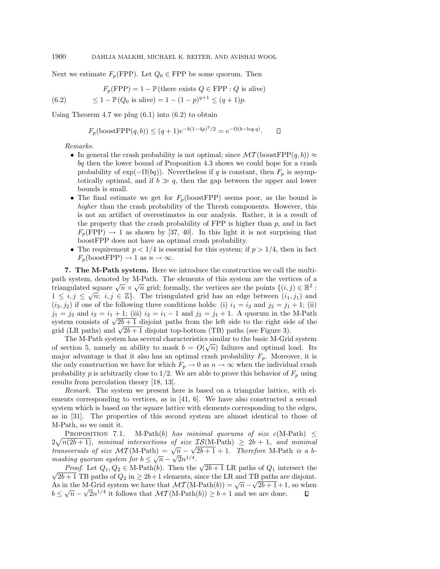Next we estimate  $F_p(\text{FPP})$ . Let  $Q_0 \in \text{FPP}$  be some quorum. Then

$$
F_p(\text{FPP}) = 1 - \mathbb{P}(\text{there exists } Q \in \text{FPP} : Q \text{ is alive})
$$
  
(6.2) 
$$
\leq 1 - \mathbb{P}(Q_0 \text{ is alive}) = 1 - (1 - p)^{q+1} \leq (q+1)p.
$$

Using Theorem 4.7 we plug  $(6.1)$  into  $(6.2)$  to obtain

 $F_p(\text{boostFPP}(q, b)) \leq (q+1)e^{-b(1-4p)^2/2} = e^{-\Omega(b-\log q)}.$  $\Box$ 

### Remarks.

- In general the crash probability is not optimal; since  $\mathcal{MT}(\text{boostFPP}(q, b)) \approx$ bq then the lower bound of Proposition 4.3 shows we could hope for a crash probability of  $\exp(-\Omega(bq))$ . Nevertheless if q is constant, then  $F_p$  is asymptotically optimal, and if  $b \gg q$ , then the gap between the upper and lower bounds is small.
- The final estimate we get for  $F_p(\text{boostFPP})$  seems poor, as the bound is higher than the crash probability of the Thresh components. However, this is not an artifact of overestimates in our analysis. Rather, it is a result of the property that the crash probability of FPP is higher than  $p$ , and in fact  $F_p(\text{FPP}) \rightarrow 1$  as shown by [37, 40]. In this light it is not surprising that boostFPP does not have an optimal crash probability.
- The requirement  $p < 1/4$  is essential for this system; if  $p > 1/4$ , then in fact  $F_p(\text{boostFPP}) \to 1 \text{ as } n \to \infty.$

**7. The M-Path system.** Here we introduce the construction we call the multipath system, denoted by M-Path. The elements of this system are the vertices of a triangulated square  $\sqrt{n} \times \sqrt{n}$  grid; formally, the vertices are the points  $\{(i, j) \in \mathbb{R}^2 :$  $1 \leq i, j \leq \sqrt{n}$ ;  $i, j \in \mathbb{Z}$ . The triangulated grid has an edge between  $(i_1, j_1)$  and  $(i_2, j_2)$  if one of the following three conditions holds: (i)  $i_1 = i_2$  and  $j_2 = j_1 + 1$ ; (ii)  $j_1 = j_2$  and  $i_2 = i_1 + 1$ ; (iii)  $i_2 = i_1 - 1$  and  $j_2 = j_1 + 1$ . A quorum in the M-Path system consists of  $\sqrt{2b+1}$  disjoint paths from the left side to the right side of the grid (LR paths) and  $\sqrt{2b+1}$  disjoint top-bottom (TB) paths (see Figure 3).

The M-Path system has several characteristics similar to the basic M-Grid system The M-1 ath system has several characteristics similar to the basic M-GHu system<br>of section 5, namely an ability to mask  $b = O(\sqrt{n})$  failures and optimal load. Its major advantage is that it also has an optimal crash probability  $F_p$ . Moreover, it is the only construction we have for which  $F_p \to 0$  as  $n \to \infty$  when the individual crash probability p is arbitrarily close to  $1/2$ . We are able to prove this behavior of  $F_p$  using results from percolation theory [18, 13].

Remark. The system we present here is based on a triangular lattice, with elements corresponding to vertices, as in [41, 6]. We have also constructed a second system which is based on the square lattice with elements corresponding to the edges, as in [31]. The properties of this second system are almost identical to those of M-Path, so we omit it.

PROPOSITION 7.1. M-Path(b) has minimal quorums of size  $c(M-Path) \leq$  $2\sqrt{n(2b+1)}$ , minimal intersections of size  $\mathcal{IS}(M\text{-Path}) \geq 2b+1$ , and minimal transversals of size  $\mathcal{MT}(M\text{-Path}) = \sqrt{n} - \sqrt{2b+1} + 1$ . Therefore M-Path is a bmasking quorum system for  $b \leq \sqrt{n} - \sqrt{2n^{1/4}}$ .

*Ring quorum system for*  $0 \le \sqrt{n} - \sqrt{2n+1}$ .<br>*Proof.* Let  $Q_1, Q_2 \in M$ -Path(b). Then the  $\sqrt{2b+1}$  LR paths of  $Q_1$  intersect the *Proof.* Let  $Q_1, Q_2 \in M$ -Path(*b*). Then the  $\sqrt{2b+1}$  LK paths of  $Q_1$  intersect the  $\sqrt{2b+1}$  TB paths of  $Q_2$  in  $\geq 2b+1$  elements, since the LR and TB paths are disjoint. As in the M-Grid system we have that  $\mathcal{MT}(M\text{-Path}(b)) = \sqrt{n} - \sqrt{2b+1} + 1$ , so when  $b \leq \sqrt{n} - \sqrt{2n^{1/4}}$  it follows that  $\mathcal{MT}(M\text{-Path}(b)) \geq b+1$  and we are done.  $\Box$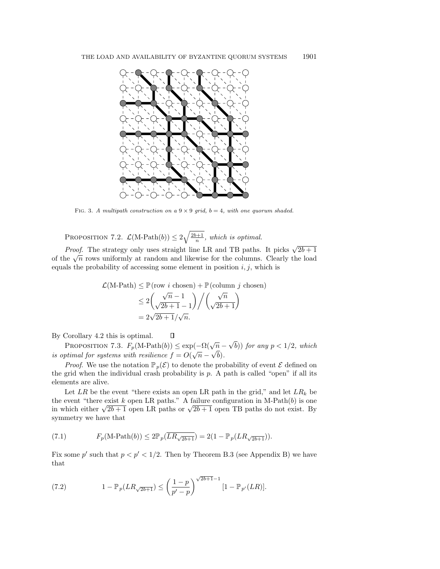

FIG. 3. A multipath construction on a  $9 \times 9$  grid,  $b = 4$ , with one quorum shaded.

PROPOSITION 7.2.  $\mathcal{L}(\text{M-Path}(b)) \leq 2\sqrt{\frac{2b+1}{n}}$ , which is optimal.

*Proof.* The strategy only uses straight line LR and TB paths. It picks  $\sqrt{2b+1}$ of the  $\sqrt{n}$  rows uniformly at random and likewise for the columns. Clearly the load equals the probability of accessing some element in position  $i, j$ , which is

$$
\mathcal{L}(\text{M-Path}) \le \mathbb{P}(\text{row } i \text{ chosen}) + \mathbb{P}(\text{column } j \text{ chosen})
$$

$$
\le 2\left(\frac{\sqrt{n}-1}{\sqrt{2b+1}-1}\right) / \left(\frac{\sqrt{n}}{\sqrt{2b+1}}\right)
$$

$$
= 2\sqrt{2b+1}/\sqrt{n}.
$$

By Corollary 4.2 this is optimal.

PROPOSITION 7.3.  $F_p(\text{M-Path}(b)) \leq \exp(-\Omega(\sqrt{n}-\sqrt{b}))$  for any  $p < 1/2$ , which is optimal for systems with resilience  $f = O(\sqrt{n} - \sqrt{b})$ .

*Proof.* We use the notation  $\mathbb{P}_p(\mathcal{E})$  to denote the probability of event  $\mathcal E$  defined on the grid when the individual crash probability is  $p$ . A path is called "open" if all its elements are alive.

Let  $LR$  be the event "there exists an open LR path in the grid," and let  $LR_k$  be the event "there exist  $k$  open LR paths." A failure configuration in M-Path $(b)$  is one in which either  $\sqrt{2b+1}$  open LR paths or  $\sqrt{2b+1}$  open TB paths do not exist. By symmetry we have that

(7.1) 
$$
F_p(\text{M-Path}(b)) \le 2\mathbb{P}_p(\overline{LR_{\sqrt{2b+1}}}) = 2(1 - \mathbb{P}_p(LR_{\sqrt{2b+1}})).
$$

Fix some p' such that  $p < p' < 1/2$ . Then by Theorem B.3 (see Appendix B) we have that

(7.2) 
$$
1 - \mathbb{P}_p(LR_{\sqrt{2b+1}}) \le \left(\frac{1-p}{p'-p}\right)^{\sqrt{2b+1}-1} [1 - \mathbb{P}_{p'}(LR)].
$$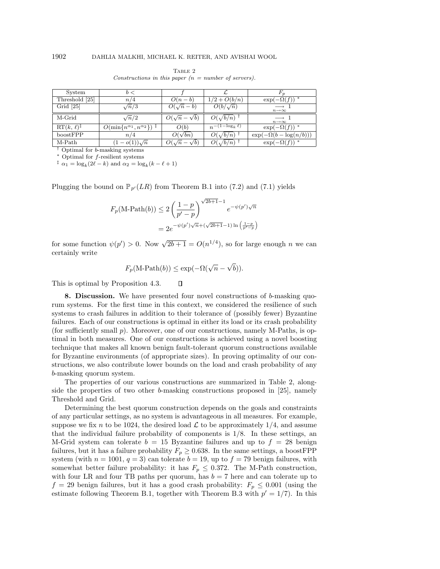| System                     | b <                                                |                              |                        |                                             |
|----------------------------|----------------------------------------------------|------------------------------|------------------------|---------------------------------------------|
| Threshold [25]             | n/4                                                | $O(n-b)$                     | $1/2 + O(b/n)$         | $\exp(-\Omega(f))$                          |
| Grid $[25]$                | $\sqrt{n}/3$                                       | $O(\sqrt{n}-b)$              | $O(b/\sqrt{n})$        | $n\rightarrow\infty$                        |
| M-Grid                     | $\sqrt{n}/2$                                       | $O(\sqrt{n}-\sqrt{b})$       | $O(\sqrt{b/n})$        | $\longrightarrow$ 1<br>$n\rightarrow\infty$ |
| $RT(k, \ell)$ <sup>‡</sup> | $O(\min\{n^{\alpha_1}, n^{\alpha_2}\})^{\ddagger}$ | O(b)                         | $n^{-(1-\log_k \ell)}$ | $\exp(-\Omega(f))^*$                        |
| boostFPP                   | n/4                                                | $O(\sqrt{bn})$               | $O(\sqrt{b/n})$        | $\exp(-\Omega(b-\log(n/b)))$                |
| M-Path                     | $- o(1) \sqrt{n}$                                  | $O(\sqrt{n})$<br>$-\sqrt{b}$ | $O(\sqrt{b/n})$        | $\exp(-\Omega(f))^*$                        |

TABLE 2 Constructions in this paper  $(n = number of servers)$ .

† Optimal for b-masking systems <sup>∗</sup> Optimal for f-resilient systems

<sup>‡</sup>  $\alpha_1 = \log_k(2\ell - k)$  and  $\alpha_2 = \log_k(k - \ell + 1)$ 

Plugging the bound on  $\mathbb{P}_{p'}(LR)$  from Theorem B.1 into (7.2) and (7.1) yields

$$
F_p(\text{M-Path}(b)) \le 2\left(\frac{1-p}{p'-p}\right)^{\sqrt{2b+1}-1} e^{-\psi(p')\sqrt{n}}
$$
  
=  $2e^{-\psi(p')\sqrt{n}+(\sqrt{2b+1}-1)\ln\left(\frac{1-p}{p'-p}\right)}$ 

for some function  $\psi(p') > 0$ . Now  $\sqrt{2b+1} = O(n^{1/4})$ , so for large enough n we can certainly write

$$
F_p(\text{M-Path}(b)) \le \exp(-\Omega(\sqrt{n} - \sqrt{b})).
$$

 $\Box$ 

This is optimal by Proposition 4.3.

**8. Discussion.** We have presented four novel constructions of b-masking quorum systems. For the first time in this context, we considered the resilience of such systems to crash failures in addition to their tolerance of (possibly fewer) Byzantine failures. Each of our constructions is optimal in either its load or its crash probability (for sufficiently small p). Moreover, one of our constructions, namely M-Paths, is optimal in both measures. One of our constructions is achieved using a novel boosting technique that makes all known benign fault-tolerant quorum constructions available for Byzantine environments (of appropriate sizes). In proving optimality of our constructions, we also contribute lower bounds on the load and crash probability of any b-masking quorum system.

The properties of our various constructions are summarized in Table 2, alongside the properties of two other b-masking constructions proposed in [25], namely Threshold and Grid.

Determining the best quorum construction depends on the goals and constraints of any particular settings, as no system is advantageous in all measures. For example, suppose we fix n to be 1024, the desired load  $\mathcal L$  to be approximately 1/4, and assume that the individual failure probability of components is 1/8. In these settings, an M-Grid system can tolerate  $b = 15$  Byzantine failures and up to  $f = 28$  benign failures, but it has a failure probability  $F_p \geq 0.638$ . In the same settings, a boostFPP system (with  $n = 1001$ ,  $q = 3$ ) can tolerate  $b = 19$ , up to  $f = 79$  benign failures, with somewhat better failure probability: it has  $F_p \leq 0.372$ . The M-Path construction, with four LR and four TB paths per quorum, has  $b = 7$  here and can tolerate up to  $f = 29$  benign failures, but it has a good crash probability:  $F_p \leq 0.001$  (using the estimate following Theorem B.1, together with Theorem B.3 with  $p' = 1/7$ . In this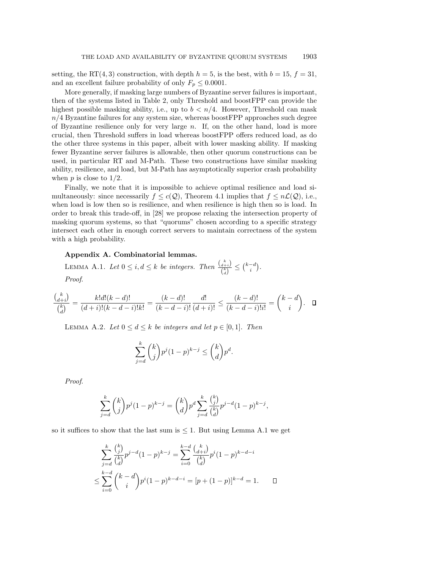setting, the RT(4,3) construction, with depth  $h = 5$ , is the best, with  $b = 15$ ,  $f = 31$ , and an excellent failure probability of only  $F_p \leq 0.0001$ .

More generally, if masking large numbers of Byzantine server failures is important, then of the systems listed in Table 2, only Threshold and boostFPP can provide the highest possible masking ability, i.e., up to  $b < n/4$ . However, Threshold can mask  $n/4$  Byzantine failures for any system size, whereas boostFPP approaches such degree of Byzantine resilience only for very large  $n$ . If, on the other hand, load is more crucial, then Threshold suffers in load whereas boostFPP offers reduced load, as do the other three systems in this paper, albeit with lower masking ability. If masking fewer Byzantine server failures is allowable, then other quorum constructions can be used, in particular RT and M-Path. These two constructions have similar masking ability, resilience, and load, but M-Path has asymptotically superior crash probability when  $p$  is close to  $1/2$ .

Finally, we note that it is impossible to achieve optimal resilience and load simultaneously: since necessarily  $f \leq c(Q)$ , Theorem 4.1 implies that  $f \leq n\mathcal{L}(Q)$ , i.e., when load is low then so is resilience, and when resilience is high then so is load. In order to break this trade-off, in [28] we propose relaxing the intersection property of masking quorum systems, so that "quorums" chosen according to a specific strategy intersect each other in enough correct servers to maintain correctness of the system with a high probability.

# Appendix A. Combinatorial lemmas.

LEMMA A.1. Let  $0 \leq i, d \leq k$  be integers. Then  $\frac{\binom{k}{d+k}}{\binom{k}{k}}$  $\frac{d+i}{\binom{k}{d}} \leq \binom{k-d}{i}.$ Proof.

$$
\frac{\binom{k}{d+i}}{\binom{k}{d}} = \frac{k!d!(k-d)!}{(d+i)!(k-d-i)!k!} = \frac{(k-d)!}{(k-d-i)!} \frac{d!}{(d+i)!} \le \frac{(k-d)!}{(k-d-i)!i!} = \binom{k-d}{i}.
$$

LEMMA A.2. Let  $0 \leq d \leq k$  be integers and let  $p \in [0,1]$ . Then

$$
\sum_{j=d}^{k} {k \choose j} p^j (1-p)^{k-j} \leq {k \choose d} p^d.
$$

Proof.

$$
\sum_{j=d}^{k} {k \choose j} p^j (1-p)^{k-j} = {k \choose d} p^d \sum_{j=d}^{k} {k \choose j} p^{j-d} (1-p)^{k-j},
$$

so it suffices to show that the last sum is  $\leq 1$ . But using Lemma A.1 we get

$$
\sum_{j=d}^{k} \frac{\binom{k}{j}}{\binom{k}{d}} p^{j-d} (1-p)^{k-j} = \sum_{i=0}^{k-d} \frac{\binom{k}{d+i}}{\binom{k}{d}} p^{i} (1-p)^{k-d-i}
$$
  

$$
\leq \sum_{i=0}^{k-d} \binom{k-d}{i} p^{i} (1-p)^{k-d-i} = [p + (1-p)]^{k-d} = 1.
$$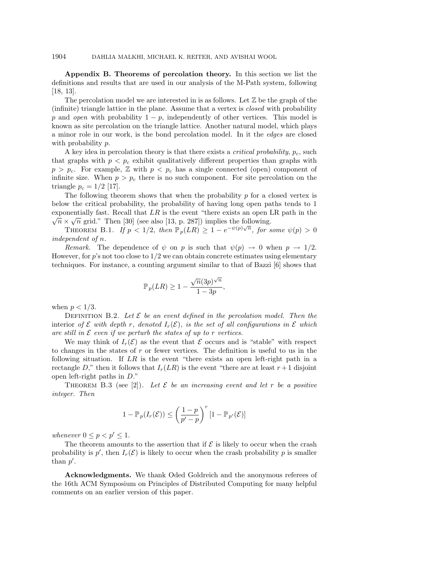**Appendix B. Theorems of percolation theory.** In this section we list the definitions and results that are used in our analysis of the M-Path system, following [18, 13].

The percolation model we are interested in is as follows. Let  $\mathbb Z$  be the graph of the (infinite) triangle lattice in the plane. Assume that a vertex is closed with probability p and open with probability  $1 - p$ , independently of other vertices. This model is known as site percolation on the triangle lattice. Another natural model, which plays a minor role in our work, is the bond percolation model. In it the edges are closed with probability p.

A key idea in percolation theory is that there exists a *critical probability*,  $p_c$ , such that graphs with  $p < p<sub>c</sub>$  exhibit qualitatively different properties than graphs with  $p>p_c$ . For example, Z with  $p < p_c$  has a single connected (open) component of infinite size. When  $p>p_c$  there is no such component. For site percolation on the triangle  $p_c = 1/2$  [17].

The following theorem shows that when the probability  $p$  for a closed vertex is below the critical probability, the probability of having long open paths tends to 1 exponentially fast. Recall that  $LR$  is the event "there exists an open LR path in the  $\sqrt{n} \times \sqrt{n}$  grid." Then [30] (see also [13, p. 287]) implies the following.

THEOREM B.1. If  $p < 1/2$ , then  $\mathbb{P}_p(LR) \geq 1 - e^{-\psi(p)\sqrt{n}}$ , for some  $\psi(p) > 0$ independent of n.

Remark. The dependence of  $\psi$  on p is such that  $\psi(p) \to 0$  when  $p \to 1/2$ . However, for  $p$ 's not too close to  $1/2$  we can obtain concrete estimates using elementary techniques. For instance, a counting argument similar to that of Bazzi [6] shows that

$$
\mathbb{P}_p(LR) \ge 1 - \frac{\sqrt{n}(3p)^{\sqrt{n}}}{1 - 3p},
$$

when  $p < 1/3$ .

DEFINITION B.2. Let  $\mathcal E$  be an event defined in the percolation model. Then the interior of  $\mathcal E$  with depth r, denoted  $I_r(\mathcal E)$ , is the set of all configurations in  $\mathcal E$  which are still in  $\mathcal E$  even if we perturb the states of up to r vertices.

We may think of  $I_r(\mathcal{E})$  as the event that  $\mathcal E$  occurs and is "stable" with respect to changes in the states of  $r$  or fewer vertices. The definition is useful to us in the following situation. If  $LR$  is the event "there exists an open left-right path in a rectangle D," then it follows that  $I_r(LR)$  is the event "there are at least  $r+1$  disjoint open left-right paths in D."

THEOREM B.3 (see [2]). Let  $\mathcal E$  be an increasing event and let r be a positive integer. Then

$$
1 - \mathbb{P}_p(I_r(\mathcal{E})) \le \left(\frac{1-p}{p'-p}\right)^r \left[1 - \mathbb{P}_{p'}(\mathcal{E})\right]
$$

whenever  $0 \leq p < p' \leq 1$ .

The theorem amounts to the assertion that if  $\mathcal E$  is likely to occur when the crash probability is  $p'$ , then  $I_r(\mathcal{E})$  is likely to occur when the crash probability p is smaller than  $p'$ .

**Acknowledgments.** We thank Oded Goldreich and the anonymous referees of the 16th ACM Symposium on Principles of Distributed Computing for many helpful comments on an earlier version of this paper.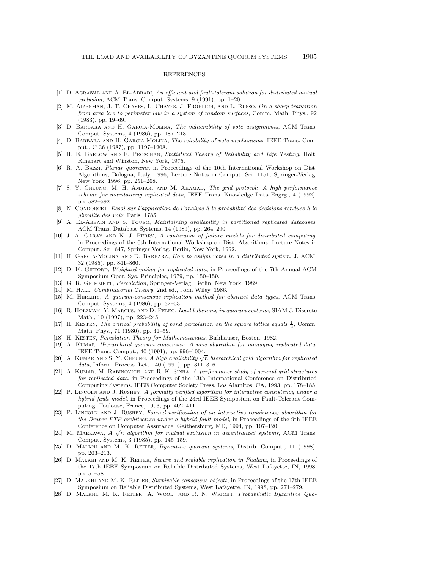#### REFERENCES

- [1] D. AGRAWAL AND A. EL-ABBADI, An efficient and fault-tolerant solution for distributed mutual exclusion, ACM Trans. Comput. Systems, 9 (1991), pp. 1–20.
- [2] M. AIZENMAN, J. T. CHAYES, L. CHAYES, J. FRÖHLICH, AND L. RUSSO, On a sharp transition from area law to perimeter law in a system of random surfaces, Comm. Math. Phys., 92 (1983), pp. 19–69.
- [3] D. BARBARA AND H. GARCIA-MOLINA, The vulnerability of vote assignments, ACM Trans. Comput. Systems, 4 (1986), pp. 187–213.
- [4] D. Barbara and H. Garcia-Molina, The reliability of vote mechanisms, IEEE Trans. Comput., C-36 (1987), pp. 1197–1208.
- [5] R. E. Barlow and F. Proschan, Statistical Theory of Reliability and Life Testing, Holt, Rinehart and Winston, New York, 1975.
- [6] R. A. Bazzi, Planar quorums, in Proceedings of the 10th International Workshop on Dist. Algorithms, Bologna, Italy, 1996, Lecture Notes in Comput. Sci. 1151, Springer-Verlag, New York, 1996, pp. 251–268.
- [7] S. Y. Cheung, M. H. Ammar, and M. Ahamad, The grid protocol: A high performance scheme for maintaining replicated data, IEEE Trans. Knowledge Data Engrg., 4 (1992), pp. 582–592.
- [8] N. CONDORCET, Essai sur l'application de l'analyse à la probabilité des decisions rendues à la pluralite des voix, Paris, 1785.
- [9] A. EL-ABBADI AND S. TOUEG, Maintaining availability in partitioned replicated databases, ACM Trans. Database Systems, 14 (1989), pp. 264–290.
- [10] J. A. GARAY AND K. J. PERRY, A continuum of failure models for distributed computing, in Proceedings of the 6th International Workshop on Dist. Algorithms, Lecture Notes in Comput. Sci. 647, Springer-Verlag, Berlin, New York, 1992.
- [11] H. Garcia-Molina and D. Barbara, How to assign votes in a distributed system, J. ACM, 32 (1985), pp. 841–860.
- [12] D. K. GIFFORD, Weighted voting for replicated data, in Proceedings of the 7th Annual ACM Symposium Oper. Sys. Principles, 1979, pp. 150–159.
- [13] G. R. GRIMMETT, Percolation, Springer-Verlag, Berlin, New York, 1989.
- [14] M. HALL, *Combinatorial Theory*, 2nd ed., John Wiley, 1986.
- [15] M. Herlihy, A quorum-consensus replication method for abstract data types, ACM Trans. Comput. Systems, 4 (1986), pp. 32–53.
- [16] R. Holzman, Y. Marcus, and D. Peleg, Load balancing in quorum systems, SIAM J. Discrete Math., 10 (1997), pp. 223–245.
- [17] H. KESTEN, The critical probability of bond percolation on the square lattice equals  $\frac{1}{2}$ , Comm. Math. Phys., 71 (1980), pp. 41–59.
- [18] H. KESTEN, Percolation Theory for Mathematicians, Birkhäuser, Boston, 1982.
- [19] A. KUMAR, Hierarchical quorum consensus: A new algorithm for managing replicated data, IEEE Trans. Comput., 40 (1991), pp. 996–1004.
- [20] A. KUMAR AND S. Y. CHEUNG, A high availability  $\sqrt{n}$  hierarchical grid algorithm for replicated data, Inform. Process. Lett., 40 (1991), pp. 311–316.
- [21] A. KUMAR, M. RABINOVICH, AND R. K. SINHA, A performance study of general grid structures for replicated data, in Proceedings of the 13th International Conference on Distributed Computing Systems, IEEE Computer Society Press, Los Alamitos, CA, 1993, pp. 178–185.
- [22] P. LINCOLN AND J. RUSHBY, A formally verified algorithm for interactive consistency under a hybrid fault model, in Proceedings of the 23rd IEEE Symposium on Fault-Tolerant Computing, Toulouse, France, 1993, pp. 402–411.
- [23] P. LINCOLN AND J. RUSHBY, Formal verification of an interactive consistency algorithm for the Draper FTP architecture under a hybrid fault model, in Proceedings of the 9th IEEE Conference on Computer Assurance, Gaithersburg, MD, 1994, pp. 107–120.
- [24] M. MAEKAWA,  $A \sqrt{n}$  algorithm for mutual exclusion in decentralized systems, ACM Trans. Comput. Systems, 3 (1985), pp. 145–159.
- [25] D. MALKHI AND M. K. REITER, *Byzantine quorum systems*, Distrib. Comput., 11 (1998), pp. 203–213.
- [26] D. MALKHI AND M. K. REITER, Secure and scalable replication in Phalanx, in Proceedings of the 17th IEEE Symposium on Reliable Distributed Systems, West Lafayette, IN, 1998, pp. 51–58.
- [27] D. Malkhi and M. K. Reiter, Survivable consensus objects, in Proceedings of the 17th IEEE Symposium on Reliable Distributed Systems, West Lafayette, IN, 1998, pp. 271–279.
- [28] D. Malkhi, M. K. Reiter, A. Wool, and R. N. Wright, Probabilistic Byzantine Quo-